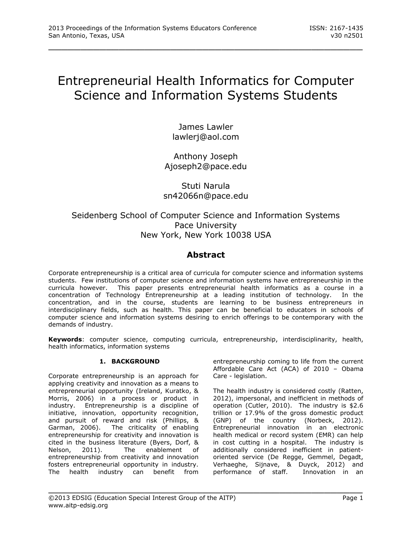# Entrepreneurial Health Informatics for Computer Science and Information Systems Students

\_\_\_\_\_\_\_\_\_\_\_\_\_\_\_\_\_\_\_\_\_\_\_\_\_\_\_\_\_\_\_\_\_\_\_\_\_\_\_\_\_\_\_\_\_\_\_\_\_

James Lawler lawlerj@aol.com

Anthony Joseph Ajoseph2@pace.edu

# Stuti Narula sn42066n@pace.edu

# Seidenberg School of Computer Science and Information Systems Pace University New York, New York 10038 USA

# **Abstract**

Corporate entrepreneurship is a critical area of curricula for computer science and information systems students. Few institutions of computer science and information systems have entrepreneurship in the curricula however. This paper presents entrepreneurial health informatics as a course in a concentration of Technology Entrepreneurship at a leading institution of technology. In the concentration, and in the course, students are learning to be business entrepreneurs in interdisciplinary fields, such as health. This paper can be beneficial to educators in schools of computer science and information systems desiring to enrich offerings to be contemporary with the demands of industry.

**Keywords**: computer science, computing curricula, entrepreneurship, interdisciplinarity, health, health informatics, information systems

## **1. BACKGROUND**

Corporate entrepreneurship is an approach for applying creativity and innovation as a means to entrepreneurial opportunity (Ireland, Kuratko, & Morris, 2006) in a process or product in industry. Entrepreneurship is a discipline of initiative, innovation, opportunity recognition, and pursuit of reward and risk (Phillips, & Garman, 2006). The criticality of enabling entrepreneurship for creativity and innovation is cited in the business literature (Byers, Dorf, & Nelson, 2011). The enablement of entrepreneurship from creativity and innovation fosters entrepreneurial opportunity in industry. The health industry can benefit from

entrepreneurship coming to life from the current Affordable Care Act (ACA) of 2010 – Obama Care - legislation.

The health industry is considered costly (Ratten, 2012), impersonal, and inefficient in methods of operation (Cutler, 2010). The industry is \$2.6 trillion or 17.9% of the gross domestic product (GNP) of the country (Norbeck, 2012). Entrepreneurial innovation in an electronic health medical or record system (EMR) can help in cost cutting in a hospital. The industry is additionally considered inefficient in patientoriented service (De Regge, Gemmel, Degadt, Verhaeghe, Sijnave, & Duyck, 2012) and performance of staff. Innovation in an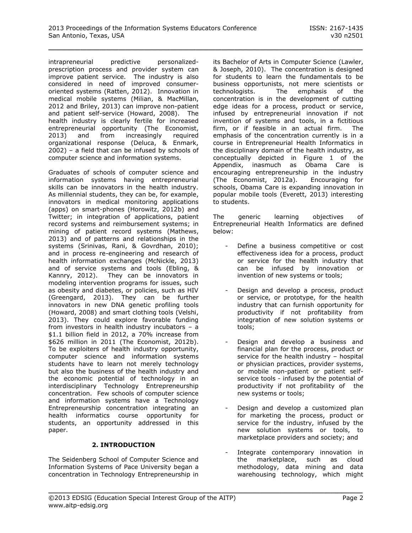intrapreneurial predictive personalizedprescription process and provider system can improve patient service. The industry is also considered in need of improved consumeroriented systems (Ratten, 2012). Innovation in medical mobile systems (Milian, & MacMillan, 2012 and Briley, 2013) can improve non-patient and patient self-service (Howard, 2008). The health industry is clearly fertile for increased entrepreneurial opportunity (The Economist, 2013) and from increasingly required organizational response (Deluca, & Enmark, 2002) – a field that can be infused by schools of computer science and information systems.

Graduates of schools of computer science and information systems having entrepreneurial skills can be innovators in the health industry. As millennial students, they can be, for example, innovators in medical monitoring applications (apps) on smart-phones (Horowitz, 2012b) and Twitter; in integration of applications, patient record systems and reimbursement systems; in mining of patient record systems (Mathews, 2013) and of patterns and relationships in the systems (Srinivas, Rani, & Govrdhan, 2010); and in process re-engineering and research of health information exchanges (McNickle, 2013) and of service systems and tools (Ebling, & Kannry, 2012). They can be innovators in modeling intervention programs for issues, such as obesity and diabetes, or policies, such as HIV (Greengard, 2013). They can be further innovators in new DNA genetic profiling tools (Howard, 2008) and smart clothing tools (Velshi, 2013). They could explore favorable funding from investors in health industry incubators – a \$1.1 billion field in 2012, a 70% increase from \$626 million in 2011 (The Economist, 2012b). To be exploiters of health industry opportunity, computer science and information systems students have to learn not merely technology but also the business of the health industry and the economic potential of technology in an interdisciplinary Technology Entrepreneurship concentration. Few schools of computer science and information systems have a Technology Entrepreneurship concentration integrating an health informatics course opportunity for students, an opportunity addressed in this paper.

#### **2. INTRODUCTION**

The Seidenberg School of Computer Science and Information Systems of Pace University began a concentration in Technology Entrepreneurship in

its Bachelor of Arts in Computer Science (Lawler, & Joseph, 2010). The concentration is designed for students to learn the fundamentals to be business opportunists, not mere scientists or technologists. The emphasis of the concentration is in the development of cutting edge ideas for a process, product or service, infused by entrepreneurial innovation if not invention of systems and tools, in a fictitious firm, or if feasible in an actual firm. The emphasis of the concentration currently is in a course in Entrepreneurial Health Informatics in the disciplinary domain of the health industry, as conceptually depicted in Figure 1 of the Appendix, inasmuch as Obama Care is encouraging entrepreneurship in the industry (The Economist, 2012a). Encouraging for schools, Obama Care is expanding innovation in popular mobile tools (Everett, 2013) interesting to students.

The generic learning objectives of Entrepreneurial Health Informatics are defined below:

- Define a business competitive or cost effectiveness idea for a process, product or service for the health industry that can be infused by innovation or invention of new systems or tools;
- Design and develop a process, product or service, or prototype, for the health industry that can furnish opportunity for productivity if not profitability from integration of new solution systems or tools;
- Design and develop a business and financial plan for the process, product or service for the health industry – hospital or physician practices, provider systems, or mobile non-patient or patient selfservice tools - infused by the potential of productivity if not profitability of the new systems or tools;
- Design and develop a customized plan for marketing the process, product or service for the industry, infused by the new solution systems or tools, to marketplace providers and society; and
- Integrate contemporary innovation in the marketplace, such as cloud methodology, data mining and data warehousing technology, which might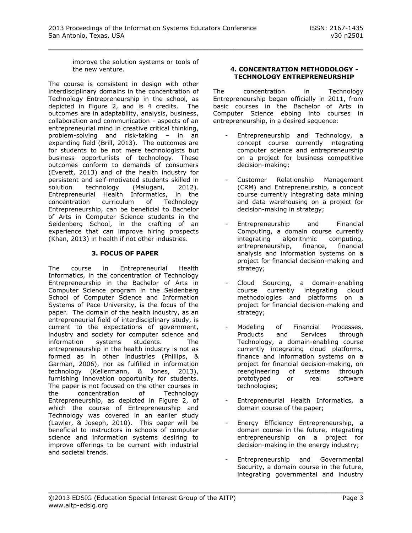improve the solution systems or tools of the new venture.

The course is consistent in design with other interdisciplinary domains in the concentration of Technology Entrepreneurship in the school, as depicted in Figure 2, and is 4 credits. The outcomes are in adaptability, analysis, business, collaboration and communication - aspects of an entrepreneurial mind in creative critical thinking, problem-solving and risk-taking – in an expanding field (Brill, 2013). The outcomes are for students to be not mere technologists but business opportunists of technology. These outcomes conform to demands of consumers (Everett, 2013) and of the health industry for persistent and self-motivated students skilled in solution technology (Malugani, 2012). Entrepreneurial Health Informatics, in the concentration curriculum of Technology Entrepreneurship, can be beneficial to Bachelor of Arts in Computer Science students in the Seidenberg School, in the crafting of an experience that can improve hiring prospects (Khan, 2013) in health if not other industries.

## **3. FOCUS OF PAPER**

The course in Entrepreneurial Health Informatics, in the concentration of Technology Entrepreneurship in the Bachelor of Arts in Computer Science program in the Seidenberg School of Computer Science and Information Systems of Pace University, is the focus of the paper. The domain of the health industry, as an entrepreneurial field of interdisciplinary study, is current to the expectations of government, industry and society for computer science and information systems students. The entrepreneurship in the health industry is not as formed as in other industries (Phillips, & Garman, 2006), nor as fulfilled in information technology (Kellermann, & Jones, 2013), furnishing innovation opportunity for students. The paper is not focused on the other courses in the concentration of Technology Entrepreneurship, as depicted in Figure 2, of which the course of Entrepreneurship and Technology was covered in an earlier study (Lawler, & Joseph, 2010). This paper will be beneficial to instructors in schools of computer science and information systems desiring to improve offerings to be current with industrial and societal trends.

#### **4. CONCENTRATION METHODOLOGY - TECHNOLOGY ENTREPRENEURSHIP**

The concentration in Technology Entrepreneurship began officially in 2011, from basic courses in the Bachelor of Arts in Computer Science ebbing into courses in entrepreneurship, in a desired sequence:

- Entrepreneurship and Technology, a concept course currently integrating computer science and entrepreneurship on a project for business competitive decision-making;
- Customer Relationship Management (CRM) and Entrepreneurship, a concept course currently integrating data mining and data warehousing on a project for decision-making in strategy;
- Entrepreneurship and Financial Computing, a domain course currently integrating algorithmic computing, entrepreneurship, finance, financial analysis and information systems on a project for financial decision-making and strategy;
- Cloud Sourcing, a domain-enabling course currently integrating cloud methodologies and platforms on a project for financial decision-making and strategy;
- Modeling of Financial Processes, Products and Services through Technology, a domain-enabling course currently integrating cloud platforms, finance and information systems on a project for financial decision-making, on reengineering of systems through prototyped or real software technologies;
- Entrepreneurial Health Informatics, a domain course of the paper;
- Energy Efficiency Entrepreneurship, a domain course in the future, integrating entrepreneurship on a project for decision-making in the energy industry;
- Entrepreneurship and Governmental Security, a domain course in the future, integrating governmental and industry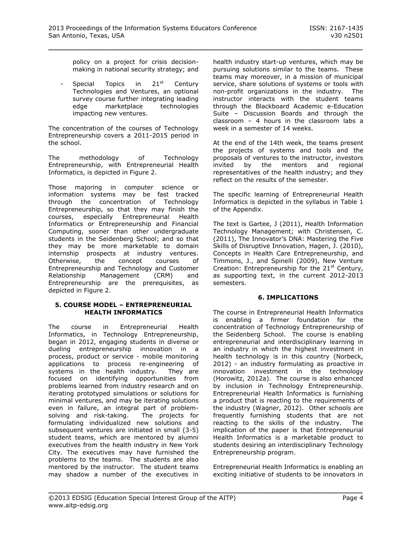policy on a project for crisis decisionmaking in national security strategy; and

Special Topics in  $21<sup>st</sup>$  Century Technologies and Ventures, an optional survey course further integrating leading edge marketplace technologies impacting new ventures.

The concentration of the courses of Technology Entrepreneurship covers a 2011-2015 period in the school.

The methodology of Technology Entrepreneurship, with Entrepreneurial Health Informatics, is depicted in Figure 2.

Those majoring in computer science or information systems may be fast tracked through the concentration of Technology Entrepreneurship, so that they may finish the courses, especially Entrepreneurial Health Informatics or Entrepreneurship and Financial Computing, sooner than other undergraduate students in the Seidenberg School; and so that they may be more marketable to domain internship prospects at industry ventures. Otherwise, the concept courses of Entrepreneurship and Technology and Customer Relationship Management (CRM) and Entrepreneurship are the prerequisites, as depicted in Figure 2.

#### **5. COURSE MODEL – ENTREPRENEURIAL HEALTH INFORMATICS**

The course in Entrepreneurial Health Informatics, in Technology Entrepreneurship, began in 2012, engaging students in diverse or dueling entrepreneurship innovation in a process, product or service - mobile monitoring applications to process re-engineering of systems in the health industry. They are focused on identifying opportunities from problems learned from industry research and on iterating prototyped simulations or solutions for minimal ventures, and may be iterating solutions even in failure, an integral part of problemsolving and risk-taking. The projects for formulating individualized new solutions and subsequent ventures are initiated in small (3-5) student teams, which are mentored by alumni executives from the health industry in New York City. The executives may have furnished the problems to the teams. The students are also mentored by the instructor. The student teams may shadow a number of the executives in

health industry start-up ventures, which may be pursuing solutions similar to the teams. These teams may moreover, in a mission of municipal service, share solutions of systems or tools with non-profit organizations in the industry. The instructor interacts with the student teams through the Blackboard Academic e-Education Suite – Discussion Boards and through the classroom – 4 hours in the classroom labs a week in a semester of 14 weeks.

At the end of the 14th week, the teams present the projects of systems and tools and the proposals of ventures to the instructor, investors invited by the mentors and regional representatives of the health industry; and they reflect on the results of the semester.

The specific learning of Entrepreneurial Health Informatics is depicted in the syllabus in Table 1 of the Appendix.

The text is Gartee, J (2011), Health Information Technology Management; with Christensen, C. (2011), The Innovator's DNA: Mastering the Five Skills of Disruptive Innovation, Hagen, J. (2010), Concepts in Health Care Entrepreneurship, and Timmons, J., and Spinelli (2009), New Venture Creation: Entrepreneurship for the 21<sup>st</sup> Century, as supporting text, in the current 2012-2013 semesters.

## **6. IMPLICATIONS**

The course in Entrepreneurial Health Informatics is enabling a firmer foundation for the concentration of Technology Entrepreneurship of the Seidenberg School. The course is enabling entrepreneurial and interdisciplinary learning in an industry in which the highest investment in health technology is in this country (Norbeck, 2012) - an industry formulating as proactive in innovation investment in the technology (Horowitz, 2012a). The course is also enhanced by inclusion in Technology Entrepreneurship. Entrepreneurial Health Informatics is furnishing a product that is reacting to the requirements of the industry (Wagner, 2012). Other schools are frequently furnishing students that are not reacting to the skills of the industry. The implication of the paper is that Entrepreneurial Health Informatics is a marketable product to students desiring an interdisciplinary Technology Entrepreneurship program.

Entrepreneurial Health Informatics is enabling an exciting initiative of students to be innovators in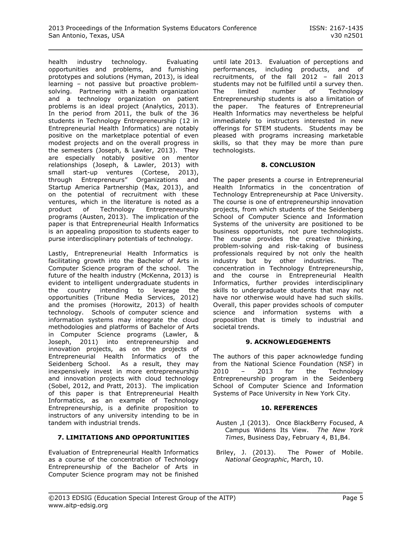health industry technology. Evaluating opportunities and problems, and furnishing prototypes and solutions (Hyman, 2013), is ideal learning – not passive but proactive problemsolving. Partnering with a health organization and a technology organization on patient problems is an ideal project (Analytics, 2013). In the period from 2011, the bulk of the 36 students in Technology Entrepreneurship (12 in Entrepreneurial Health Informatics) are notably positive on the marketplace potential of even modest projects and on the overall progress in the semesters (Joseph, & Lawler, 2013). They are especially notably positive on mentor relationships (Joseph, & Lawler, 2013) with small start-up ventures (Cortese, 2013), through Entrepreneurs" Organizations and Startup America Partnership (Max, 2013), and on the potential of recruitment with these ventures, which in the literature is noted as a product of Technology Entrepreneurship programs (Austen, 2013). The implication of the paper is that Entrepreneurial Health Informatics is an appealing proposition to students eager to purse interdisciplinary potentials of technology.

Lastly, Entrepreneurial Health Informatics is facilitating growth into the Bachelor of Arts in Computer Science program of the school. The future of the health industry (McKenna, 2013) is evident to intelligent undergraduate students in the country intending to leverage the opportunities (Tribune Media Services, 2012) and the promises (Horowitz, 2013) of health technology. Schools of computer science and information systems may integrate the cloud methodologies and platforms of Bachelor of Arts in Computer Science programs (Lawler, & Joseph, 2011) into entrepreneurship and innovation projects, as on the projects of Entrepreneurial Health Informatics of the Seidenberg School. As a result, they may inexpensively invest in more entrepreneurship and innovation projects with cloud technology (Sobel, 2012, and Pratt, 2013). The implication of this paper is that Entrepreneurial Health Informatics, as an example of Technology Entrepreneurship, is a definite proposition to instructors of any university intending to be in tandem with industrial trends.

## **7. LIMITATIONS AND OPPORTUNITIES**

Evaluation of Entrepreneurial Health Informatics as a course of the concentration of Technology Entrepreneurship of the Bachelor of Arts in Computer Science program may not be finished

until late 2013. Evaluation of perceptions and performances, including products, and of recruitments, of the fall 2012 – fall 2013 students may not be fulfilled until a survey then. The limited number of Technology Entrepreneurship students is also a limitation of the paper. The features of Entrepreneurial Health Informatics may nevertheless be helpful immediately to instructors interested in new offerings for STEM students. Students may be pleased with programs increasing marketable skills, so that they may be more than pure technologists.

#### **8. CONCLUSION**

The paper presents a course in Entrepreneurial Health Informatics in the concentration of Technology Entrepreneurship at Pace University. The course is one of entrepreneurship innovation projects, from which students of the Seidenberg School of Computer Science and Information Systems of the university are positioned to be business opportunists, not pure technologists. The course provides the creative thinking, problem-solving and risk-taking of business professionals required by not only the health industry but by other industries. The concentration in Technology Entrepreneurship, and the course in Entrepreneurial Health Informatics, further provides interdisciplinary skills to undergraduate students that may not have nor otherwise would have had such skills. Overall, this paper provides schools of computer science and information systems with a proposition that is timely to industrial and societal trends.

## **9. ACKNOWLEDGEMENTS**

The authors of this paper acknowledge funding from the National Science Foundation (NSF) in 2010 – 2013 for the Technology Entrepreneurship program in the Seidenberg School of Computer Science and Information Systems of Pace University in New York City.

#### **10. REFERENCES**

- Austen ,I (2013). Once BlackBerry Focused, A Campus Widens Its View. *The New York Times*, Business Day, February 4, B1,B4.
- Briley, J. (2013). The Power of Mobile. *National Geographic*, March, 10.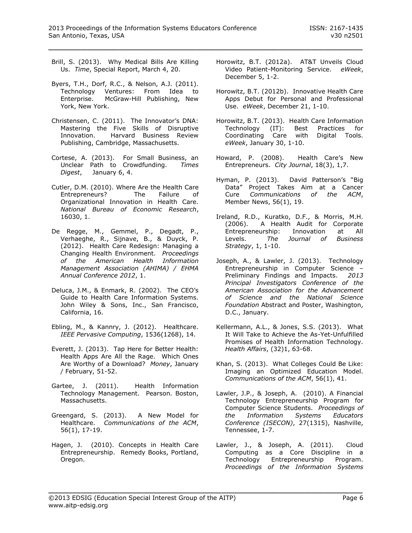- Brill, S. (2013). Why Medical Bills Are Killing Us. *Time*, Special Report, March 4, 20.
- Byers, T.H., Dorf, R.C., & Nelson, A.J. (2011). Technology Ventures: From Idea to Enterprise. McGraw-Hill Publishing, New York, New York.
- Christensen, C. (2011). The Innovator's DNA: Mastering the Five Skills of Disruptive Innovation. Harvard Business Review Publishing, Cambridge, Massachusetts.
- Cortese, A. (2013). For Small Business, an Unclear Path to Crowdfunding. *Times Digest*, January 6, 4.
- Cutler, D.M. (2010). Where Are the Health Care Entrepreneurs? The Failure of Organizational Innovation in Health Care. *National Bureau of Economic Research*, 16030, 1.
- De Regge, M., Gemmel, P., Degadt, P., Verhaeghe, R., Sijnave, B., & Duyck, P. (2012). Health Care Redesign: Managing a Changing Health Environment. *Proceedings of the American Health Information Management Association (AHIMA) / EHMA Annual Conference 2012*, 1.
- Deluca, J.M., & Enmark, R. (2002). The CEO's Guide to Health Care Information Systems. John Wiley & Sons, Inc., San Francisco, California, 16.
- Ebling, M., & Kannry, J. (2012). Healthcare. *IEEE Pervasive Computing*, 1536(1268), 14.
- Everett, J. (2013). Tap Here for Better Health: Health Apps Are All the Rage. Which Ones Are Worthy of a Download? *Money*, January / February, 51-52.
- Gartee, J. (2011). Health Information Technology Management. Pearson. Boston, Massachusetts.
- Greengard, S. (2013). A New Model for Healthcare. *Communications of the ACM*, 56(1), 17-19.
- Hagen, J. (2010). Concepts in Health Care Entrepreneurship. Remedy Books, Portland, Oregon.
- Horowitz, B.T. (2012a). AT&T Unveils Cloud Video Patient-Monitoring Service. *eWeek*, December 5, 1-2.
- Horowitz, B.T. (2012b). Innovative Health Care Apps Debut for Personal and Professional Use. *eWeek*, December 21, 1-10.
- Horowitz, B.T. (2013). Health Care Information Technology (IT): Best Practices for Coordinating Care with Digital Tools. *eWeek*, January 30, 1-10.
- Howard, P. (2008). Health Care's New Entrepreneurs. *City Journal*, 18(3), 1,7.
- Hyman, P. (2013). David Patterson's "Big Data" Project Takes Aim at a Cancer Cure *Communications of the ACM*, Member News, 56(1), 19.
- Ireland, R.D., Kuratko, D.F., & Morris, M.H. (2006). A Health Audit for Corporate Entrepreneurship: Innovation at All Levels. *The Journal of Business Strategy*, 1, 1-10.
- Joseph, A., & Lawler, J. (2013). Technology Entrepreneurship in Computer Science – Preliminary Findings and Impacts. *2013 Principal Investigators Conference of the American Association for the Advancement of Science and the National Science Foundation* Abstract and Poster, Washington, D.C., January.
- Kellermann, A.L., & Jones, S.S. (2013). What It Will Take to Achieve the As-Yet-Unfulfilled Promises of Health Information Technology. *Health Affairs*, (32)1, 63-68.
- Khan, S. (2013). What Colleges Could Be Like: Imaging an Optimized Education Model. *Communications of the ACM*, 56(1), 41.
- Lawler, J.P., & Joseph, A. (2010). A Financial Technology Entrepreneurship Program for Computer Science Students. *Proceedings of the Information Systems Educators Conference (ISECON)*, 27(1315), Nashville, Tennessee, 1-7.
- Lawler, J., & Joseph, A. (2011). Cloud Computing as a Core Discipline in a Technology Entrepreneurship Program. *Proceedings of the Information Systems*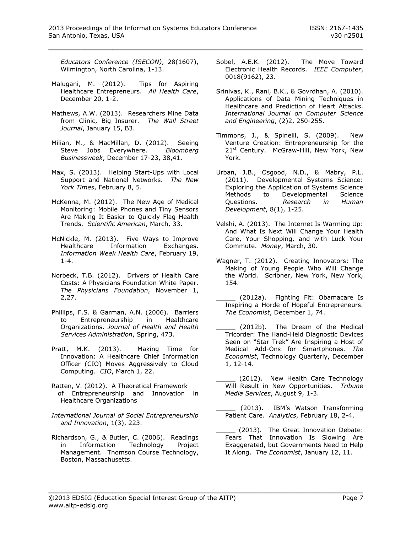*Educators Conference (ISECON)*, 28(1607), Wilmington, North Carolina, 1-13.

- Malugani, M. (2012). Tips for Aspiring Healthcare Entrepreneurs. *All Health Care*, December 20, 1-2.
- Mathews, A.W. (2013). Researchers Mine Data from Clinic, Big Insurer. *The Wall Street Journal*, January 15, B3.
- Milian, M., & MacMillan, D. (2012). Seeing Steve Jobs Everywhere. *Bloomberg Businessweek*, December 17-23, 38,41.
- Max, S. (2013). Helping Start-Ups with Local Support and National Networks. *The New York Times*, February 8, 5.
- McKenna, M. (2012). The New Age of Medical Monitoring: Mobile Phones and Tiny Sensors Are Making It Easier to Quickly Flag Health Trends. *Scientific American*, March, 33.
- McNickle, M. (2013). Five Ways to Improve Healthcare Information Exchanges. *Information Week Health Care*, February 19, 1-4.
- Norbeck, T.B. (2012). Drivers of Health Care Costs: A Physicians Foundation White Paper. *The Physicians Foundation*, November 1, 2,27.
- Phillips, F.S. & Garman, A.N. (2006). Barriers to Entrepreneurship in Healthcare Organizations. *Journal of Health and Health Services Administration*, Spring, 473.
- Pratt, M.K. (2013). Making Time for Innovation: A Healthcare Chief Information Officer (CIO) Moves Aggressively to Cloud Computing. *CIO*, March 1, 22.
- Ratten, V. (2012). A Theoretical Framework of Entrepreneurship and Innovation in Healthcare Organizations
- *International Journal of Social Entrepreneurship and Innovation*, 1(3), 223.
- Richardson, G., & Butler, C. (2006). Readings in Information Technology Project Management. Thomson Course Technology, Boston, Massachusetts.
- Sobel, A.E.K. (2012). The Move Toward Electronic Health Records. *IEEE Computer*, 0018(9162), 23.
- Srinivas, K., Rani, B.K., & Govrdhan, A. (2010). Applications of Data Mining Techniques in Healthcare and Prediction of Heart Attacks. *International Journal on Computer Science and Engineering*, (2)2, 250-255.
- Timmons, J., & Spinelli, S. (2009). New Venture Creation: Entrepreneurship for the 21<sup>st</sup> Century. McGraw-Hill, New York, New York.
- Urban, J.B., Osgood, N.D., & Mabry, P.L. (2011). Developmental Systems Science: Exploring the Application of Systems Science Methods to Developmental Science<br>Questions. Research in Human Questions. *Research in Human Development*, 8(1), 1-25.
- Velshi, A. (2013). The Internet Is Warming Up: And What Is Next Will Change Your Health Care, Your Shopping, and with Luck Your Commute. *Money*, March, 30.
- Wagner, T. (2012). Creating Innovators: The Making of Young People Who Will Change the World. Scribner, New York, New York, 154.
- (2012a). Fighting Fit: Obamacare Is Inspiring a Horde of Hopeful Entrepreneurs. *The Economist*, December 1, 74.
- (2012b). The Dream of the Medical Tricorder: The Hand-Held Diagnostic Devices Seen on "Star Trek" Are Inspiring a Host of Medical Add-Ons for Smartphones. *The Economist*, Technology Quarterly, December 1, 12-14.
- (2012). New Health Care Technology Will Result in New Opportunities. *Tribune Media Services*, August 9, 1-3.
- (2013). IBM's Watson Transforming Patient Care. *Analytics*, February 18, 2-4.
- \_\_\_\_\_ (2013). The Great Innovation Debate: Fears That Innovation Is Slowing Are Exaggerated, but Governments Need to Help It Along. *The Economist*, January 12, 11.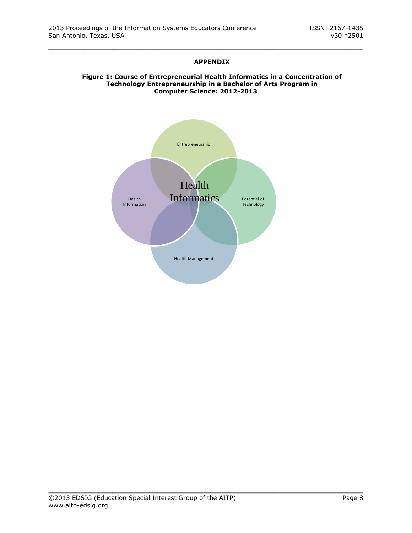# **APPENDIX**

\_\_\_\_\_\_\_\_\_\_\_\_\_\_\_\_\_\_\_\_\_\_\_\_\_\_\_\_\_\_\_\_\_\_\_\_\_\_\_\_\_\_\_\_\_\_\_\_\_

#### **Figure 1: Course of Entrepreneurial Health Informatics in a Concentration of Technology Entrepreneurship in a Bachelor of Arts Program in Computer Science: 2012-2013**

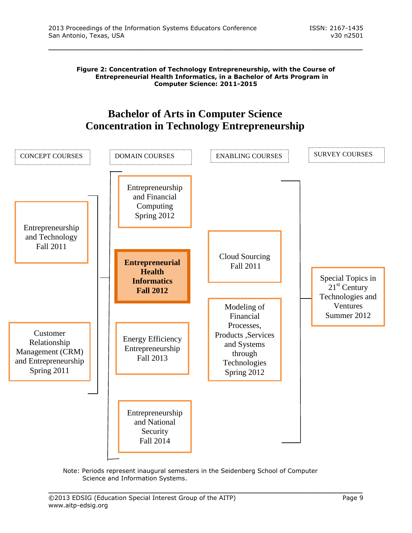**Figure 2: Concentration of Technology Entrepreneurship, with the Course of Entrepreneurial Health Informatics, in a Bachelor of Arts Program in Computer Science: 2011-2015**

\_\_\_\_\_\_\_\_\_\_\_\_\_\_\_\_\_\_\_\_\_\_\_\_\_\_\_\_\_\_\_\_\_\_\_\_\_\_\_\_\_\_\_\_\_\_\_\_\_

# **Bachelor of Arts in Computer Science Concentration in Technology Entrepreneurship**



Note: Periods represent inaugural semesters in the Seidenberg School of Computer Science and Information Systems.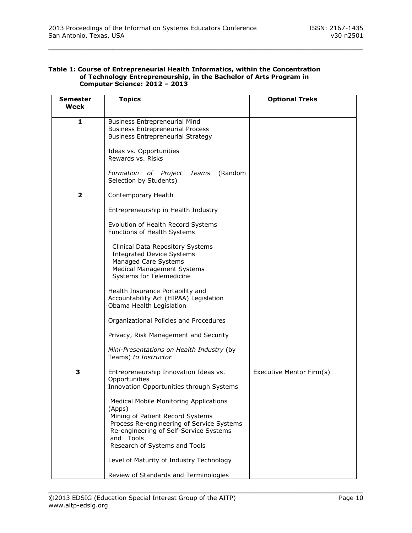#### **Table 1: Course of Entrepreneurial Health Informatics, within the Concentration of Technology Entrepreneurship, in the Bachelor of Arts Program in Computer Science: 2012 – 2013**

| <b>Semester</b><br>Week | <b>Topics</b>                                                                                                                                                                                                                    | <b>Optional Treks</b>    |
|-------------------------|----------------------------------------------------------------------------------------------------------------------------------------------------------------------------------------------------------------------------------|--------------------------|
| 1                       | <b>Business Entrepreneurial Mind</b><br><b>Business Entrepreneurial Process</b><br><b>Business Entrepreneurial Strategy</b>                                                                                                      |                          |
|                         | Ideas vs. Opportunities<br>Rewards vs. Risks                                                                                                                                                                                     |                          |
|                         | (Random<br>Formation of Project<br>Teams<br>Selection by Students)                                                                                                                                                               |                          |
| 2                       | Contemporary Health                                                                                                                                                                                                              |                          |
|                         | Entrepreneurship in Health Industry                                                                                                                                                                                              |                          |
|                         | Evolution of Health Record Systems<br>Functions of Health Systems                                                                                                                                                                |                          |
|                         | Clinical Data Repository Systems<br><b>Integrated Device Systems</b><br>Managed Care Systems<br><b>Medical Management Systems</b><br>Systems for Telemedicine                                                                    |                          |
|                         | Health Insurance Portability and<br>Accountability Act (HIPAA) Legislation<br>Obama Health Legislation                                                                                                                           |                          |
|                         | Organizational Policies and Procedures                                                                                                                                                                                           |                          |
|                         | Privacy, Risk Management and Security                                                                                                                                                                                            |                          |
|                         | Mini-Presentations on Health Industry (by<br>Teams) to Instructor                                                                                                                                                                |                          |
| З                       | Entrepreneurship Innovation Ideas vs.<br>Opportunities<br>Innovation Opportunities through Systems                                                                                                                               | Executive Mentor Firm(s) |
|                         | <b>Medical Mobile Monitoring Applications</b><br>(Apps)<br>Mining of Patient Record Systems<br>Process Re-engineering of Service Systems<br>Re-engineering of Self-Service Systems<br>and Tools<br>Research of Systems and Tools |                          |
|                         | Level of Maturity of Industry Technology                                                                                                                                                                                         |                          |
|                         | Review of Standards and Terminologies                                                                                                                                                                                            |                          |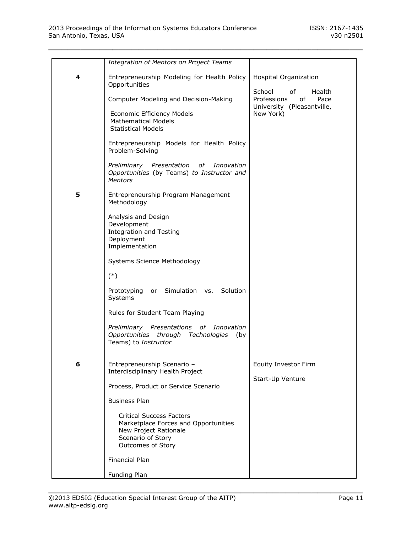|   | <b>Integration of Mentors on Project Teams</b>                                                                                             |                                                                                                |
|---|--------------------------------------------------------------------------------------------------------------------------------------------|------------------------------------------------------------------------------------------------|
| 4 | Entrepreneurship Modeling for Health Policy<br>Opportunities                                                                               | Hospital Organization                                                                          |
|   | Computer Modeling and Decision-Making                                                                                                      | School<br>Health<br>of<br>Professions<br>0f<br>Pace<br>University (Pleasantville,<br>New York) |
|   | Economic Efficiency Models<br><b>Mathematical Models</b><br><b>Statistical Models</b>                                                      |                                                                                                |
|   | Entrepreneurship Models for Health Policy<br>Problem-Solving                                                                               |                                                                                                |
|   | Preliminary Presentation of<br>Innovation<br>Opportunities (by Teams) to Instructor and<br><b>Mentors</b>                                  |                                                                                                |
| 5 | Entrepreneurship Program Management<br>Methodology                                                                                         |                                                                                                |
|   | Analysis and Design<br>Development<br><b>Integration and Testing</b><br>Deployment<br>Implementation                                       |                                                                                                |
|   | Systems Science Methodology                                                                                                                |                                                                                                |
|   | $(*)$                                                                                                                                      |                                                                                                |
|   | or Simulation vs. Solution<br>Prototyping<br>Systems                                                                                       |                                                                                                |
|   | Rules for Student Team Playing                                                                                                             |                                                                                                |
|   | Preliminary Presentations<br>of _<br>Innovation<br>Opportunities<br>through Technologies (by<br>Teams) to Instructor                       |                                                                                                |
| 6 | Entrepreneurship Scenario -<br>Interdisciplinary Health Project                                                                            | Equity Investor Firm<br>Start-Up Venture                                                       |
|   | Process, Product or Service Scenario                                                                                                       |                                                                                                |
|   | <b>Business Plan</b>                                                                                                                       |                                                                                                |
|   | <b>Critical Success Factors</b><br>Marketplace Forces and Opportunities<br>New Project Rationale<br>Scenario of Story<br>Outcomes of Story |                                                                                                |
|   | Financial Plan                                                                                                                             |                                                                                                |
|   | Funding Plan                                                                                                                               |                                                                                                |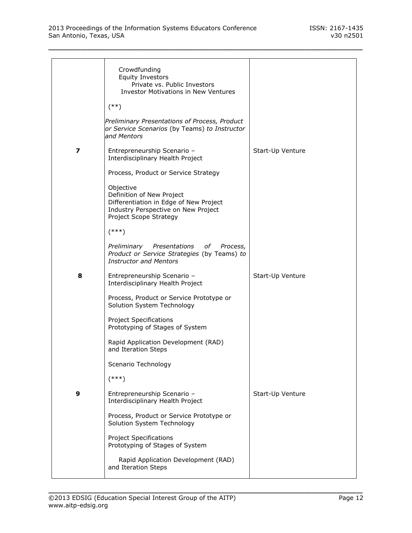|   | Crowdfunding<br><b>Equity Investors</b><br>Private vs. Public Investors<br><b>Investor Motivations in New Ventures</b>                            |                  |
|---|---------------------------------------------------------------------------------------------------------------------------------------------------|------------------|
|   | $(***)$                                                                                                                                           |                  |
|   | Preliminary Presentations of Process, Product<br>or Service Scenarios (by Teams) to Instructor<br>and Mentors                                     |                  |
| 7 | Entrepreneurship Scenario -<br>Interdisciplinary Health Project                                                                                   | Start-Up Venture |
|   | Process, Product or Service Strategy                                                                                                              |                  |
|   | Objective<br>Definition of New Project<br>Differentiation in Edge of New Project<br>Industry Perspective on New Project<br>Project Scope Strategy |                  |
|   | $(***)$                                                                                                                                           |                  |
|   | Preliminary Presentations of<br>Process,<br>Product or Service Strategies (by Teams) to<br><b>Instructor and Mentors</b>                          |                  |
| 8 | Entrepreneurship Scenario -<br>Interdisciplinary Health Project                                                                                   | Start-Up Venture |
|   | Process, Product or Service Prototype or<br>Solution System Technology                                                                            |                  |
|   | <b>Project Specifications</b><br>Prototyping of Stages of System                                                                                  |                  |
|   | Rapid Application Development (RAD)<br>and Iteration Steps                                                                                        |                  |
|   | Scenario Technology                                                                                                                               |                  |
|   | $(***)$                                                                                                                                           |                  |
| 9 | Entrepreneurship Scenario -<br>Interdisciplinary Health Project                                                                                   | Start-Up Venture |
|   | Process, Product or Service Prototype or<br>Solution System Technology                                                                            |                  |
|   | <b>Project Specifications</b><br>Prototyping of Stages of System                                                                                  |                  |
|   | Rapid Application Development (RAD)<br>and Iteration Steps                                                                                        |                  |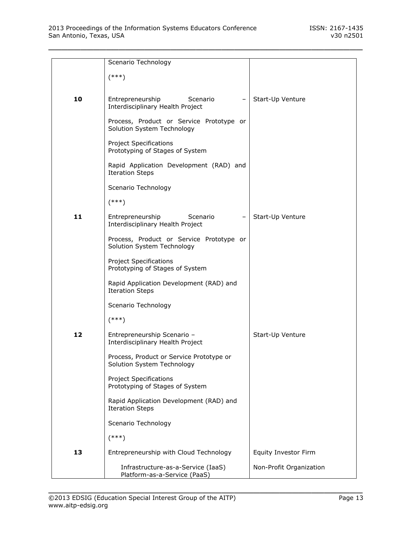|    | Scenario Technology                                                |                         |
|----|--------------------------------------------------------------------|-------------------------|
|    | $(***)$                                                            |                         |
|    |                                                                    |                         |
| 10 | Entrepreneurship<br>Scenario                                       | Start-Up Venture        |
|    | Interdisciplinary Health Project                                   |                         |
|    | Process, Product or Service Prototype or                           |                         |
|    | Solution System Technology                                         |                         |
|    | <b>Project Specifications</b>                                      |                         |
|    | Prototyping of Stages of System                                    |                         |
|    | Rapid Application Development (RAD) and                            |                         |
|    | <b>Iteration Steps</b>                                             |                         |
|    | Scenario Technology                                                |                         |
|    |                                                                    |                         |
|    | $(***)$                                                            |                         |
| 11 | Entrepreneurship<br>Scenario                                       | Start-Up Venture        |
|    | Interdisciplinary Health Project                                   |                         |
|    | Process, Product or Service Prototype or                           |                         |
|    | Solution System Technology                                         |                         |
|    | <b>Project Specifications</b>                                      |                         |
|    | Prototyping of Stages of System                                    |                         |
|    | Rapid Application Development (RAD) and                            |                         |
|    | <b>Iteration Steps</b>                                             |                         |
|    | Scenario Technology                                                |                         |
|    | $(***)$                                                            |                         |
| 12 | Entrepreneurship Scenario -                                        | Start-Up Venture        |
|    | Interdisciplinary Health Project                                   |                         |
|    | Process, Product or Service Prototype or                           |                         |
|    | Solution System Technology                                         |                         |
|    | <b>Project Specifications</b>                                      |                         |
|    | Prototyping of Stages of System                                    |                         |
|    | Rapid Application Development (RAD) and                            |                         |
|    | <b>Iteration Steps</b>                                             |                         |
|    | Scenario Technology                                                |                         |
|    | $(***)$                                                            |                         |
| 13 | Entrepreneurship with Cloud Technology                             | Equity Investor Firm    |
|    |                                                                    |                         |
|    | Infrastructure-as-a-Service (IaaS)<br>Platform-as-a-Service (PaaS) | Non-Profit Organization |